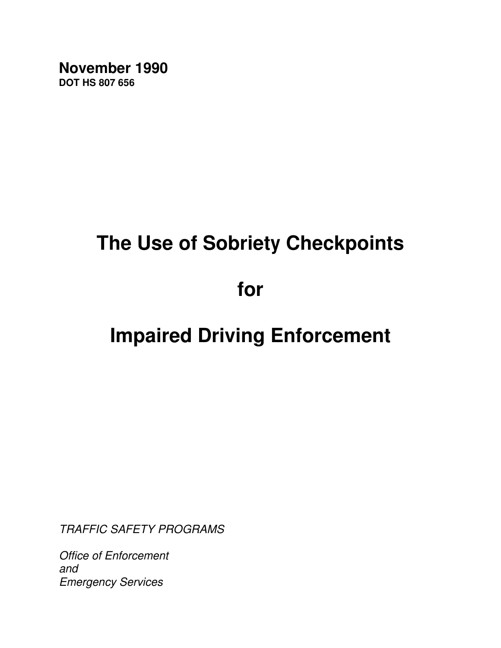**November 1990 DOT HS 807 656**

# **The Use of Sobriety Checkpoints**

**for**

# **Impaired Driving Enforcement**

TRAFFIC SAFETY PROGRAMS

Office of Enforcement and Emergency Services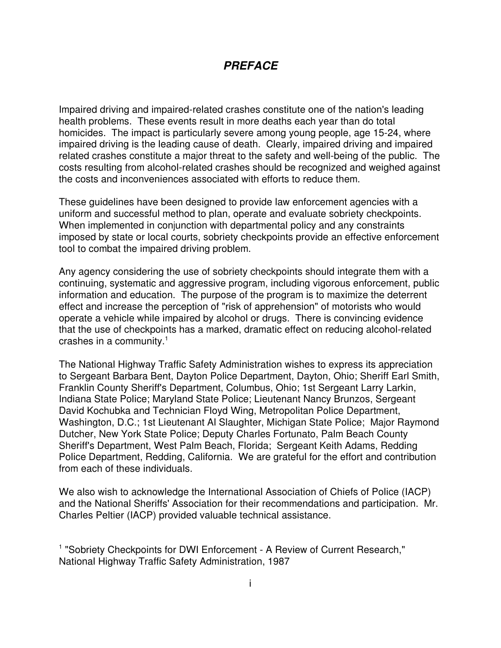# **PREFACE**

Impaired driving and impaired-related crashes constitute one of the nation's leading health problems. These events result in more deaths each year than do total homicides. The impact is particularly severe among young people, age 15-24, where impaired driving is the leading cause of death. Clearly, impaired driving and impaired related crashes constitute a major threat to the safety and well-being of the public. The costs resulting from alcohol-related crashes should be recognized and weighed against the costs and inconveniences associated with efforts to reduce them.

These guidelines have been designed to provide law enforcement agencies with a uniform and successful method to plan, operate and evaluate sobriety checkpoints. When implemented in conjunction with departmental policy and any constraints imposed by state or local courts, sobriety checkpoints provide an effective enforcement tool to combat the impaired driving problem.

Any agency considering the use of sobriety checkpoints should integrate them with a continuing, systematic and aggressive program, including vigorous enforcement, public information and education. The purpose of the program is to maximize the deterrent effect and increase the perception of "risk of apprehension" of motorists who would operate a vehicle while impaired by alcohol or drugs. There is convincing evidence that the use of checkpoints has a marked, dramatic effect on reducing alcohol-related crashes in a community. 1

The National Highway Traffic Safety Administration wishes to express its appreciation to Sergeant Barbara Bent, Dayton Police Department, Dayton, Ohio; Sheriff Earl Smith, Franklin County Sheriff's Department, Columbus, Ohio; 1st Sergeant Larry Larkin, Indiana State Police; Maryland State Police; Lieutenant Nancy Brunzos, Sergeant David Kochubka and Technician Floyd Wing, Metropolitan Police Department, Washington, D.C.; 1st Lieutenant Al Slaughter, Michigan State Police; Major Raymond Dutcher, New York State Police; Deputy Charles Fortunato, Palm Beach County Sheriff's Department, West Palm Beach, Florida; Sergeant Keith Adams, Redding Police Department, Redding, California. We are grateful for the effort and contribution from each of these individuals.

We also wish to acknowledge the International Association of Chiefs of Police (IACP) and the National Sheriffs' Association for their recommendations and participation. Mr. Charles Peltier (IACP) provided valuable technical assistance.

<sup>1</sup> "Sobriety Checkpoints for DWI Enforcement - A Review of Current Research," National Highway Traffic Safety Administration, 1987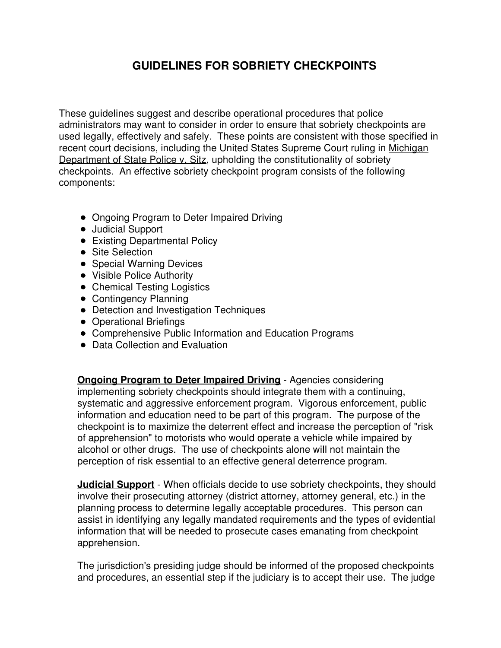# **GUIDELINES FOR SOBRIETY CHECKPOINTS**

These guidelines suggest and describe operational procedures that police administrators may want to consider in order to ensure that sobriety checkpoints are used legally, effectively and safely. These points are consistent with those specified in recent court decisions, including the United States Supreme Court ruling in Michigan Department of State Police v. Sitz, upholding the constitutionality of sobriety checkpoints. An effective sobriety checkpoint program consists of the following components:

- Ongoing Program to Deter Impaired Driving
- Judicial Support
- Existing Departmental Policy
- **•** Site Selection
- Special Warning Devices
- Visible Police Authority
- Chemical Testing Logistics
- Contingency Planning
- Detection and Investigation Techniques
- Operational Briefings
- Comprehensive Public Information and Education Programs
- Data Collection and Evaluation

**Ongoing Program to Deter Impaired Driving** - Agencies considering implementing sobriety checkpoints should integrate them with a continuing, systematic and aggressive enforcement program. Vigorous enforcement, public information and education need to be part of this program. The purpose of the checkpoint is to maximize the deterrent effect and increase the perception of "risk of apprehension" to motorists who would operate a vehicle while impaired by alcohol or other drugs. The use of checkpoints alone will not maintain the perception of risk essential to an effective general deterrence program.

**Judicial Support** - When officials decide to use sobriety checkpoints, they should involve their prosecuting attorney (district attorney, attorney general, etc.) in the planning process to determine legally acceptable procedures. This person can assist in identifying any legally mandated requirements and the types of evidential information that will be needed to prosecute cases emanating from checkpoint apprehension.

The jurisdiction's presiding judge should be informed of the proposed checkpoints and procedures, an essential step if the judiciary is to accept their use. The judge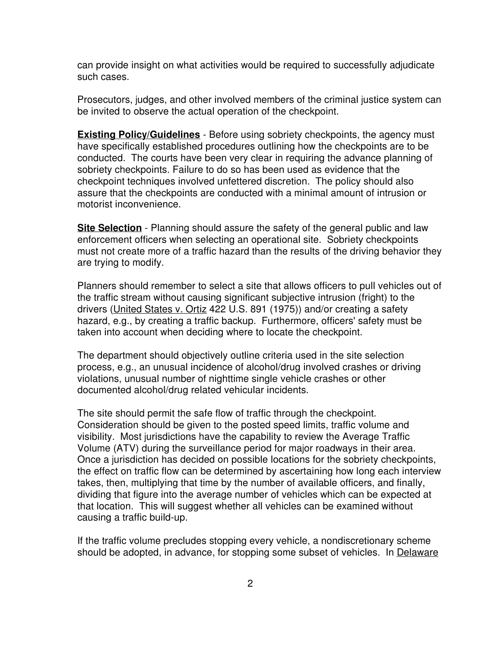can provide insight on what activities would be required to successfully adjudicate such cases.

Prosecutors, judges, and other involved members of the criminal justice system can be invited to observe the actual operation of the checkpoint.

**Existing Policy/Guidelines** - Before using sobriety checkpoints, the agency must have specifically established procedures outlining how the checkpoints are to be conducted. The courts have been very clear in requiring the advance planning of sobriety checkpoints. Failure to do so has been used as evidence that the checkpoint techniques involved unfettered discretion. The policy should also assure that the checkpoints are conducted with a minimal amount of intrusion or motorist inconvenience.

**Site Selection** - Planning should assure the safety of the general public and law enforcement officers when selecting an operational site. Sobriety checkpoints must not create more of a traffic hazard than the results of the driving behavior they are trying to modify.

Planners should remember to select a site that allows officers to pull vehicles out of the traffic stream without causing significant subjective intrusion (fright) to the drivers (United States v. Ortiz 422 U.S. 891 (1975)) and/or creating a safety hazard, e.g., by creating a traffic backup. Furthermore, officers' safety must be taken into account when deciding where to locate the checkpoint.

The department should objectively outline criteria used in the site selection process, e.g., an unusual incidence of alcohol/drug involved crashes or driving violations, unusual number of nighttime single vehicle crashes or other documented alcohol/drug related vehicular incidents.

The site should permit the safe flow of traffic through the checkpoint. Consideration should be given to the posted speed limits, traffic volume and visibility. Most jurisdictions have the capability to review the Average Traffic Volume (ATV) during the surveillance period for major roadways in their area. Once a jurisdiction has decided on possible locations for the sobriety checkpoints, the effect on traffic flow can be determined by ascertaining how long each interview takes, then, multiplying that time by the number of available officers, and finally, dividing that figure into the average number of vehicles which can be expected at that location. This will suggest whether all vehicles can be examined without causing a traffic build-up.

If the traffic volume precludes stopping every vehicle, a nondiscretionary scheme should be adopted, in advance, for stopping some subset of vehicles. In Delaware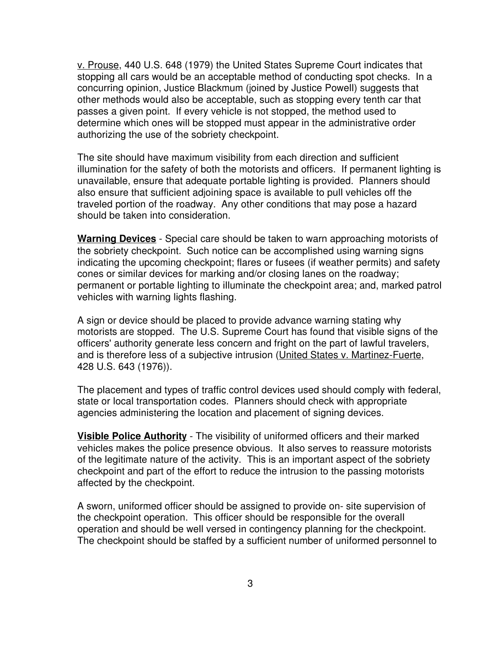v. Prouse, 440 U.S. 648 (1979) the United States Supreme Court indicates that stopping all cars would be an acceptable method of conducting spot checks. In a concurring opinion, Justice Blackmum (joined by Justice Powell) suggests that other methods would also be acceptable, such as stopping every tenth car that passes a given point. If every vehicle is not stopped, the method used to determine which ones will be stopped must appear in the administrative order authorizing the use of the sobriety checkpoint.

The site should have maximum visibility from each direction and sufficient illumination for the safety of both the motorists and officers. If permanent lighting is unavailable, ensure that adequate portable lighting is provided. Planners should also ensure that sufficient adjoining space is available to pull vehicles off the traveled portion of the roadway. Any other conditions that may pose a hazard should be taken into consideration.

**Warning Devices** - Special care should be taken to warn approaching motorists of the sobriety checkpoint. Such notice can be accomplished using warning signs indicating the upcoming checkpoint; flares or fusees (if weather permits) and safety cones or similar devices for marking and/or closing lanes on the roadway; permanent or portable lighting to illuminate the checkpoint area; and, marked patrol vehicles with warning lights flashing.

A sign or device should be placed to provide advance warning stating why motorists are stopped. The U.S. Supreme Court has found that visible signs of the officers' authority generate less concern and fright on the part of lawful travelers, and is therefore less of a subjective intrusion (United States v. Martinez-Fuerte, 428 U.S. 643 (1976)).

The placement and types of traffic control devices used should comply with federal, state or local transportation codes. Planners should check with appropriate agencies administering the location and placement of signing devices.

**Visible Police Authority** - The visibility of uniformed officers and their marked vehicles makes the police presence obvious. It also serves to reassure motorists of the legitimate nature of the activity. This is an important aspect of the sobriety checkpoint and part of the effort to reduce the intrusion to the passing motorists affected by the checkpoint.

A sworn, uniformed officer should be assigned to provide on- site supervision of the checkpoint operation. This officer should be responsible for the overall operation and should be well versed in contingency planning for the checkpoint. The checkpoint should be staffed by a sufficient number of uniformed personnel to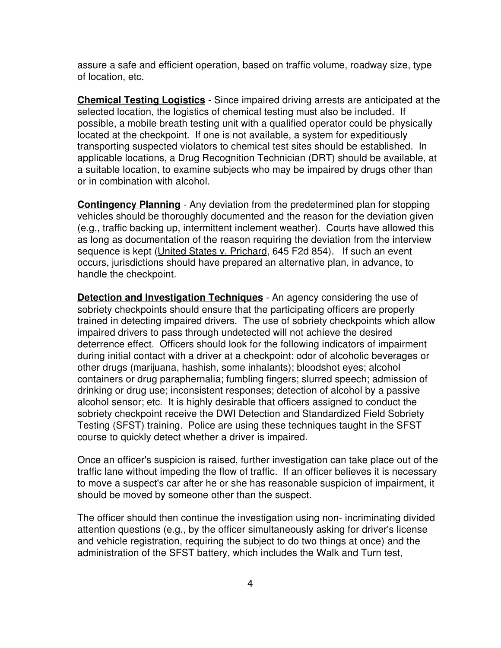assure a safe and efficient operation, based on traffic volume, roadway size, type of location, etc.

**Chemical Testing Logistics** - Since impaired driving arrests are anticipated at the selected location, the logistics of chemical testing must also be included. If possible, a mobile breath testing unit with a qualified operator could be physically located at the checkpoint. If one is not available, a system for expeditiously transporting suspected violators to chemical test sites should be established. In applicable locations, a Drug Recognition Technician (DRT) should be available, at a suitable location, to examine subjects who may be impaired by drugs other than or in combination with alcohol.

**Contingency Planning** - Any deviation from the predetermined plan for stopping vehicles should be thoroughly documented and the reason for the deviation given (e.g., traffic backing up, intermittent inclement weather). Courts have allowed this as long as documentation of the reason requiring the deviation from the interview sequence is kept (United States v. Prichard, 645 F2d 854). If such an event occurs, jurisdictions should have prepared an alternative plan, in advance, to handle the checkpoint.

**Detection and Investigation Techniques** - An agency considering the use of sobriety checkpoints should ensure that the participating officers are properly trained in detecting impaired drivers. The use of sobriety checkpoints which allow impaired drivers to pass through undetected will not achieve the desired deterrence effect. Officers should look for the following indicators of impairment during initial contact with a driver at a checkpoint: odor of alcoholic beverages or other drugs (marijuana, hashish, some inhalants); bloodshot eyes; alcohol containers or drug paraphernalia; fumbling fingers; slurred speech; admission of drinking or drug use; inconsistent responses; detection of alcohol by a passive alcohol sensor; etc. It is highly desirable that officers assigned to conduct the sobriety checkpoint receive the DWI Detection and Standardized Field Sobriety Testing (SFST) training. Police are using these techniques taught in the SFST course to quickly detect whether a driver is impaired.

Once an officer's suspicion is raised, further investigation can take place out of the traffic lane without impeding the flow of traffic. If an officer believes it is necessary to move a suspect's car after he or she has reasonable suspicion of impairment, it should be moved by someone other than the suspect.

The officer should then continue the investigation using non- incriminating divided attention questions (e.g., by the officer simultaneously asking for driver's license and vehicle registration, requiring the subject to do two things at once) and the administration of the SFST battery, which includes the Walk and Turn test,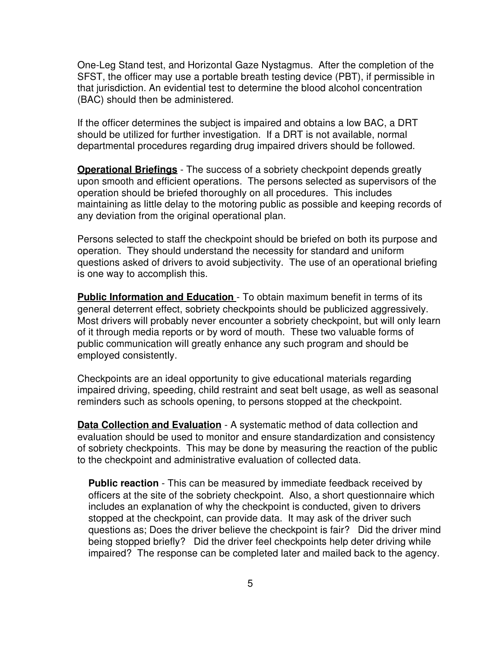One-Leg Stand test, and Horizontal Gaze Nystagmus. After the completion of the SFST, the officer may use a portable breath testing device (PBT), if permissible in that jurisdiction. An evidential test to determine the blood alcohol concentration (BAC) should then be administered.

If the officer determines the subject is impaired and obtains a low BAC, a DRT should be utilized for further investigation. If a DRT is not available, normal departmental procedures regarding drug impaired drivers should be followed.

**Operational Briefings** - The success of a sobriety checkpoint depends greatly upon smooth and efficient operations. The persons selected as supervisors of the operation should be briefed thoroughly on all procedures. This includes maintaining as little delay to the motoring public as possible and keeping records of any deviation from the original operational plan.

Persons selected to staff the checkpoint should be briefed on both its purpose and operation. They should understand the necessity for standard and uniform questions asked of drivers to avoid subjectivity. The use of an operational briefing is one way to accomplish this.

**Public Information and Education** - To obtain maximum benefit in terms of its general deterrent effect, sobriety checkpoints should be publicized aggressively. Most drivers will probably never encounter a sobriety checkpoint, but will only learn of it through media reports or by word of mouth. These two valuable forms of public communication will greatly enhance any such program and should be employed consistently.

Checkpoints are an ideal opportunity to give educational materials regarding impaired driving, speeding, child restraint and seat belt usage, as well as seasonal reminders such as schools opening, to persons stopped at the checkpoint.

**Data Collection and Evaluation** - A systematic method of data collection and evaluation should be used to monitor and ensure standardization and consistency of sobriety checkpoints. This may be done by measuring the reaction of the public to the checkpoint and administrative evaluation of collected data.

**Public reaction** - This can be measured by immediate feedback received by officers at the site of the sobriety checkpoint. Also, a short questionnaire which includes an explanation of why the checkpoint is conducted, given to drivers stopped at the checkpoint, can provide data. It may ask of the driver such questions as; Does the driver believe the checkpoint is fair? Did the driver mind being stopped briefly? Did the driver feel checkpoints help deter driving while impaired? The response can be completed later and mailed back to the agency.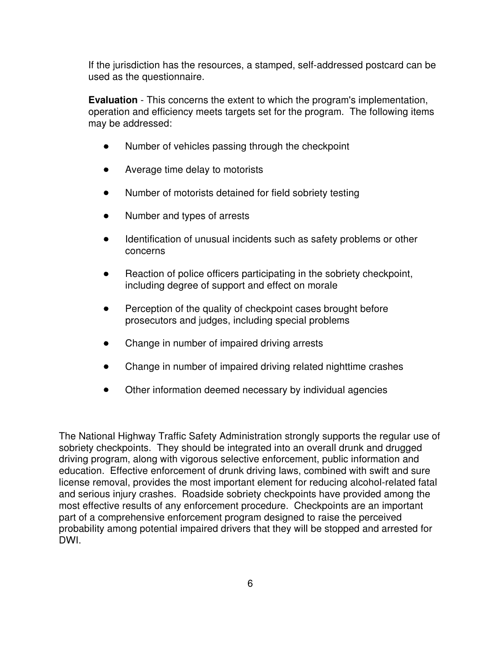If the jurisdiction has the resources, a stamped, self-addressed postcard can be used as the questionnaire.

**Evaluation** - This concerns the extent to which the program's implementation, operation and efficiency meets targets set for the program. The following items may be addressed:

- $\bullet$ Number of vehicles passing through the checkpoint
- Average time delay to motorists
- Number of motorists detained for field sobriety testing
- Number and types of arrests  $\bullet$
- Identification of unusual incidents such as safety problems or other concerns
- Reaction of police officers participating in the sobriety checkpoint, including degree of support and effect on morale
- Perception of the quality of checkpoint cases brought before prosecutors and judges, including special problems
- Change in number of impaired driving arrests  $\bullet$
- Change in number of impaired driving related nighttime crashes
- $\bullet$ Other information deemed necessary by individual agencies

The National Highway Traffic Safety Administration strongly supports the regular use of sobriety checkpoints. They should be integrated into an overall drunk and drugged driving program, along with vigorous selective enforcement, public information and education. Effective enforcement of drunk driving laws, combined with swift and sure license removal, provides the most important element for reducing alcohol-related fatal and serious injury crashes. Roadside sobriety checkpoints have provided among the most effective results of any enforcement procedure. Checkpoints are an important part of a comprehensive enforcement program designed to raise the perceived probability among potential impaired drivers that they will be stopped and arrested for DWI.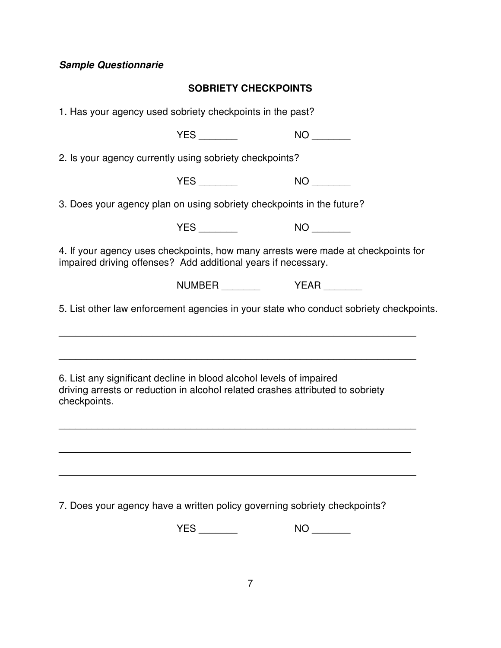# **Sample Questionnarie**

# **SOBRIETY CHECKPOINTS**

| 1. Has your agency used sobriety checkpoints in the past?                                                                                                                  |                                    |    |
|----------------------------------------------------------------------------------------------------------------------------------------------------------------------------|------------------------------------|----|
|                                                                                                                                                                            |                                    |    |
| 2. Is your agency currently using sobriety checkpoints?                                                                                                                    |                                    |    |
|                                                                                                                                                                            |                                    |    |
| 3. Does your agency plan on using sobriety checkpoints in the future?                                                                                                      |                                    |    |
|                                                                                                                                                                            |                                    |    |
| 4. If your agency uses checkpoints, how many arrests were made at checkpoints for<br>impaired driving offenses? Add additional years if necessary.                         |                                    |    |
|                                                                                                                                                                            | NUMBER __________    YEAR ________ |    |
| 5. List other law enforcement agencies in your state who conduct sobriety checkpoints.<br>,我们也不会有什么。""我们的人,我们也不会有什么?""我们的人,我们也不会有什么?""我们的人,我们也不会有什么?""我们的人,我们也不会有什么?""我们的人 |                                    |    |
| 6. List any significant decline in blood alcohol levels of impaired<br>driving arrests or reduction in alcohol related crashes attributed to sobriety<br>checkpoints.      |                                    |    |
|                                                                                                                                                                            |                                    |    |
| 7. Does your agency have a written policy governing sobriety checkpoints?                                                                                                  |                                    |    |
|                                                                                                                                                                            |                                    | NO |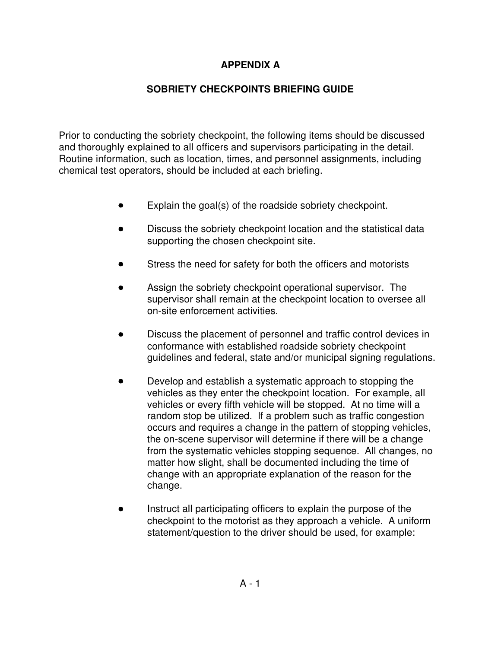# **APPENDIX A**

# **SOBRIETY CHECKPOINTS BRIEFING GUIDE**

Prior to conducting the sobriety checkpoint, the following items should be discussed and thoroughly explained to all officers and supervisors participating in the detail. Routine information, such as location, times, and personnel assignments, including chemical test operators, should be included at each briefing.

- Explain the goal(s) of the roadside sobriety checkpoint.  $\bullet$
- Discuss the sobriety checkpoint location and the statistical data supporting the chosen checkpoint site.
- Stress the need for safety for both the officers and motorists
- Assign the sobriety checkpoint operational supervisor. The supervisor shall remain at the checkpoint location to oversee all on-site enforcement activities.
- Discuss the placement of personnel and traffic control devices in conformance with established roadside sobriety checkpoint guidelines and federal, state and/or municipal signing regulations.
- Develop and establish a systematic approach to stopping the vehicles as they enter the checkpoint location. For example, all vehicles or every fifth vehicle will be stopped. At no time will a random stop be utilized. If a problem such as traffic congestion occurs and requires a change in the pattern of stopping vehicles, the on-scene supervisor will determine if there will be a change from the systematic vehicles stopping sequence. All changes, no matter how slight, shall be documented including the time of change with an appropriate explanation of the reason for the change.
- Instruct all participating officers to explain the purpose of the checkpoint to the motorist as they approach a vehicle. A uniform statement/question to the driver should be used, for example: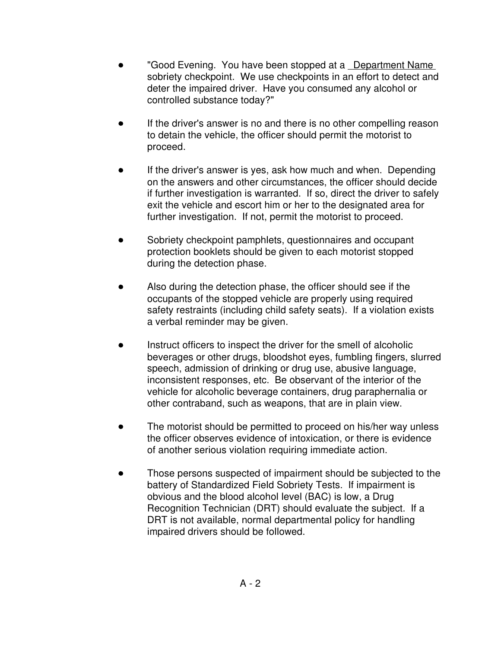- "Good Evening. You have been stopped at a **Department Name** sobriety checkpoint. We use checkpoints in an effort to detect and deter the impaired driver. Have you consumed any alcohol or controlled substance today?"
- If the driver's answer is no and there is no other compelling reason to detain the vehicle, the officer should permit the motorist to proceed.
- If the driver's answer is yes, ask how much and when. Depending on the answers and other circumstances, the officer should decide if further investigation is warranted. If so, direct the driver to safely exit the vehicle and escort him or her to the designated area for further investigation. If not, permit the motorist to proceed.
- Sobriety checkpoint pamphlets, questionnaires and occupant protection booklets should be given to each motorist stopped during the detection phase.
- Also during the detection phase, the officer should see if the occupants of the stopped vehicle are properly using required safety restraints (including child safety seats). If a violation exists a verbal reminder may be given.
- Instruct officers to inspect the driver for the smell of alcoholic beverages or other drugs, bloodshot eyes, fumbling fingers, slurred speech, admission of drinking or drug use, abusive language, inconsistent responses, etc. Be observant of the interior of the vehicle for alcoholic beverage containers, drug paraphernalia or other contraband, such as weapons, that are in plain view.
- The motorist should be permitted to proceed on his/her way unless the officer observes evidence of intoxication, or there is evidence of another serious violation requiring immediate action.
- Those persons suspected of impairment should be subjected to the battery of Standardized Field Sobriety Tests. If impairment is obvious and the blood alcohol level (BAC) is low, a Drug Recognition Technician (DRT) should evaluate the subject. If a DRT is not available, normal departmental policy for handling impaired drivers should be followed.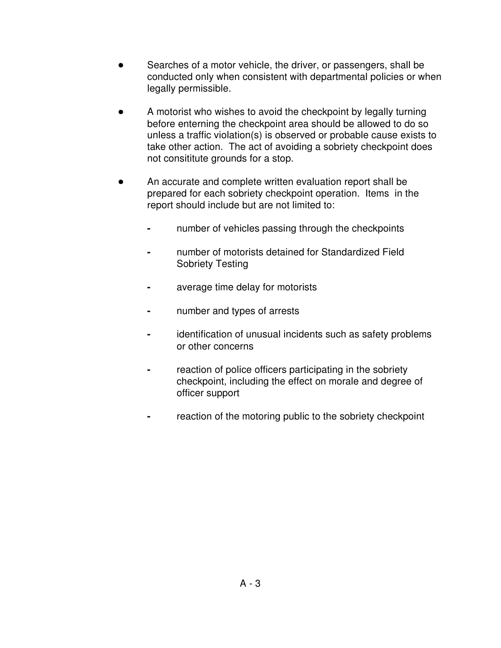- Searches of a motor vehicle, the driver, or passengers, shall be conducted only when consistent with departmental policies or when legally permissible.
- A motorist who wishes to avoid the checkpoint by legally turning before enterning the checkpoint area should be allowed to do so unless a traffic violation(s) is observed or probable cause exists to take other action. The act of avoiding a sobriety checkpoint does not consititute grounds for a stop.
- An accurate and complete written evaluation report shall be prepared for each sobriety checkpoint operation. Items in the report should include but are not limited to:
	- **-** number of vehicles passing through the checkpoints
	- **-** number of motorists detained for Standardized Field Sobriety Testing
	- **-** average time delay for motorists
	- **-** number and types of arrests
	- **-** identification of unusual incidents such as safety problems or other concerns
	- **-** reaction of police officers participating in the sobriety checkpoint, including the effect on morale and degree of officer support
	- **-** reaction of the motoring public to the sobriety checkpoint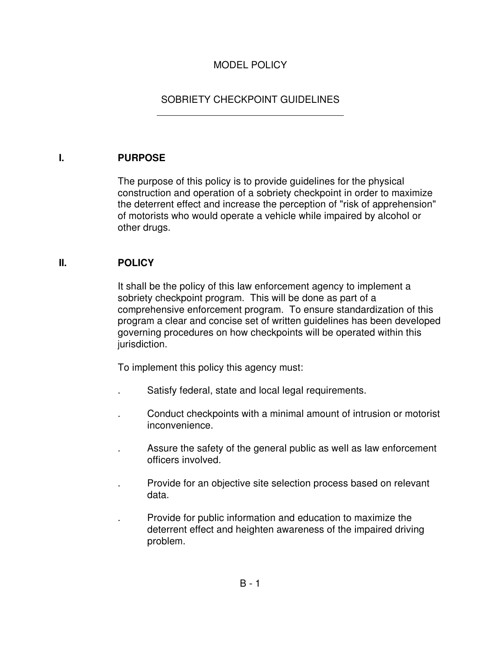# MODEL POLICY

# SOBRIETY CHECKPOINT GUIDELINES

#### **I. PURPOSE**

 $\overline{a}$ 

The purpose of this policy is to provide guidelines for the physical construction and operation of a sobriety checkpoint in order to maximize the deterrent effect and increase the perception of "risk of apprehension" of motorists who would operate a vehicle while impaired by alcohol or other drugs.

#### **II. POLICY**

It shall be the policy of this law enforcement agency to implement a sobriety checkpoint program. This will be done as part of a comprehensive enforcement program. To ensure standardization of this program a clear and concise set of written guidelines has been developed governing procedures on how checkpoints will be operated within this jurisdiction.

To implement this policy this agency must:

- . Satisfy federal, state and local legal requirements.
- . Conduct checkpoints with a minimal amount of intrusion or motorist inconvenience.
- . Assure the safety of the general public as well as law enforcement officers involved.
- . Provide for an objective site selection process based on relevant data.
- . Provide for public information and education to maximize the deterrent effect and heighten awareness of the impaired driving problem.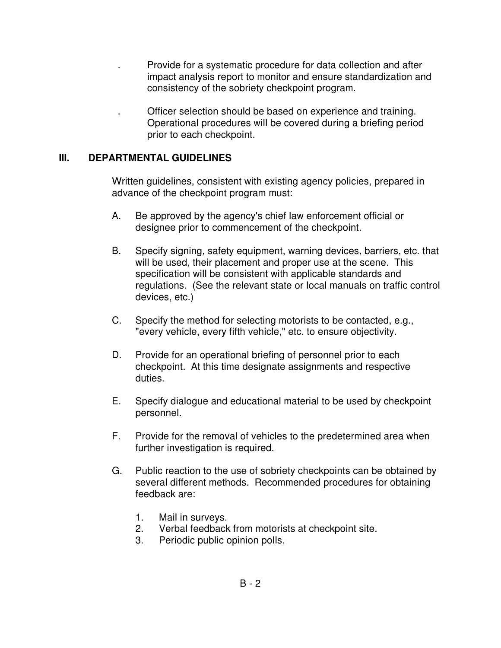- . Provide for a systematic procedure for data collection and after impact analysis report to monitor and ensure standardization and consistency of the sobriety checkpoint program.
	- . Officer selection should be based on experience and training. Operational procedures will be covered during a briefing period prior to each checkpoint.

#### **III. DEPARTMENTAL GUIDELINES**

Written guidelines, consistent with existing agency policies, prepared in advance of the checkpoint program must:

- A. Be approved by the agency's chief law enforcement official or designee prior to commencement of the checkpoint.
- B. Specify signing, safety equipment, warning devices, barriers, etc. that will be used, their placement and proper use at the scene. This specification will be consistent with applicable standards and regulations. (See the relevant state or local manuals on traffic control devices, etc.)
- C. Specify the method for selecting motorists to be contacted, e.g., "every vehicle, every fifth vehicle," etc. to ensure objectivity.
- D. Provide for an operational briefing of personnel prior to each checkpoint. At this time designate assignments and respective duties.
- E. Specify dialogue and educational material to be used by checkpoint personnel.
- F. Provide for the removal of vehicles to the predetermined area when further investigation is required.
- G. Public reaction to the use of sobriety checkpoints can be obtained by several different methods. Recommended procedures for obtaining feedback are:
	- 1. Mail in surveys.
	- 2. Verbal feedback from motorists at checkpoint site.
	- 3. Periodic public opinion polls.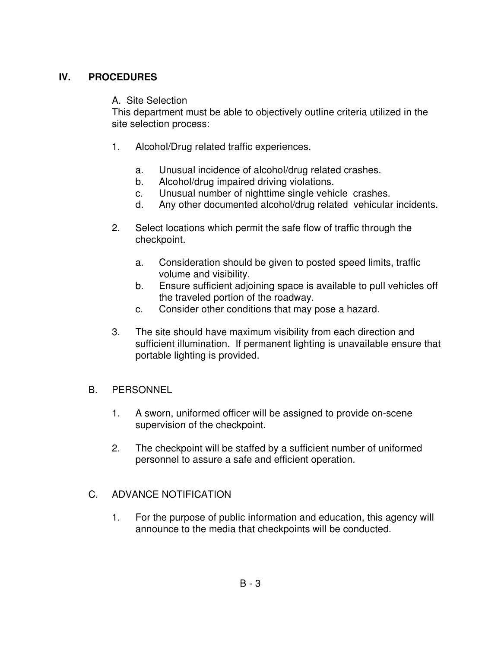# **IV. PROCEDURES**

#### A. Site Selection

This department must be able to objectively outline criteria utilized in the site selection process:

- 1. Alcohol/Drug related traffic experiences.
	- a. Unusual incidence of alcohol/drug related crashes.
	- b. Alcohol/drug impaired driving violations.
	- c. Unusual number of nighttime single vehicle crashes.
	- d. Any other documented alcohol/drug related vehicular incidents.
- 2. Select locations which permit the safe flow of traffic through the checkpoint.
	- a. Consideration should be given to posted speed limits, traffic volume and visibility.
	- b. Ensure sufficient adjoining space is available to pull vehicles off the traveled portion of the roadway.
	- c. Consider other conditions that may pose a hazard.
- 3. The site should have maximum visibility from each direction and sufficient illumination. If permanent lighting is unavailable ensure that portable lighting is provided.

#### B. PERSONNEL

- 1. A sworn, uniformed officer will be assigned to provide on-scene supervision of the checkpoint.
- 2. The checkpoint will be staffed by a sufficient number of uniformed personnel to assure a safe and efficient operation.

# C. ADVANCE NOTIFICATION

1. For the purpose of public information and education, this agency will announce to the media that checkpoints will be conducted.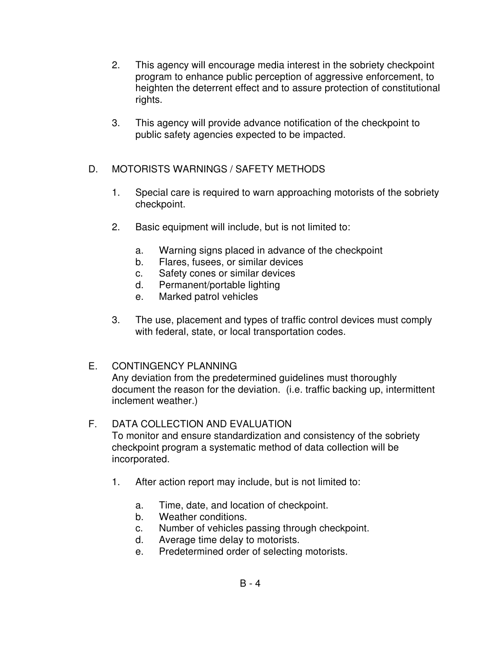- 2. This agency will encourage media interest in the sobriety checkpoint program to enhance public perception of aggressive enforcement, to heighten the deterrent effect and to assure protection of constitutional rights.
- 3. This agency will provide advance notification of the checkpoint to public safety agencies expected to be impacted.

# D. MOTORISTS WARNINGS / SAFETY METHODS

- 1. Special care is required to warn approaching motorists of the sobriety checkpoint.
- 2. Basic equipment will include, but is not limited to:
	- a. Warning signs placed in advance of the checkpoint
	- b. Flares, fusees, or similar devices
	- c. Safety cones or similar devices
	- d. Permanent/portable lighting
	- e. Marked patrol vehicles
- 3. The use, placement and types of traffic control devices must comply with federal, state, or local transportation codes.

# E. CONTINGENCY PLANNING

Any deviation from the predetermined guidelines must thoroughly document the reason for the deviation. (i.e. traffic backing up, intermittent inclement weather.)

# F. DATA COLLECTION AND EVALUATION

To monitor and ensure standardization and consistency of the sobriety checkpoint program a systematic method of data collection will be incorporated.

- 1. After action report may include, but is not limited to:
	- a. Time, date, and location of checkpoint.
	- b. Weather conditions.
	- c. Number of vehicles passing through checkpoint.
	- d. Average time delay to motorists.
	- e. Predetermined order of selecting motorists.